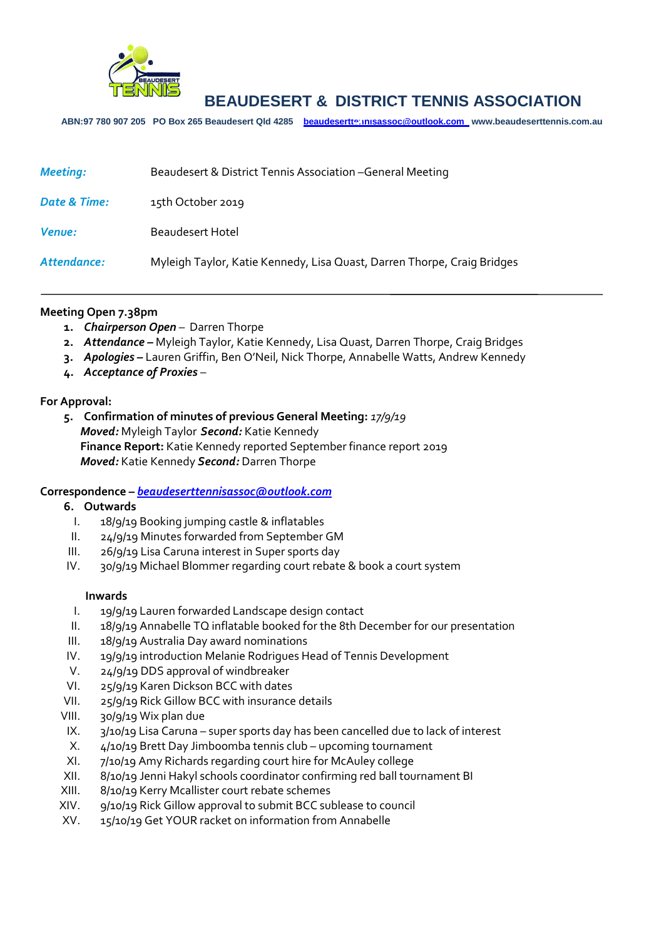

# **BEAUDESERT & DISTRICT TENNIS ASSOCIATION**

**ABN:97 780 907 205 PO Box 265 Beaudesert Qld 4285 [beaudeserttennisassoc@outlook.com](mailto:beaudeserttennisassoc@outlook.com) www.beaudeserttennis.com.au** *Agenda*

| <b>Meeting:</b> | Beaudesert & District Tennis Association - General Meeting              |
|-----------------|-------------------------------------------------------------------------|
| Date & Time:    | 15th October 2019                                                       |
| <b>Venue:</b>   | Beaudesert Hotel                                                        |
| Attendance:     | Myleigh Taylor, Katie Kennedy, Lisa Quast, Darren Thorpe, Craig Bridges |

#### **Meeting Open 7.38pm**

- **1.** *Chairperson Open* Darren Thorpe
- **2.** *Attendance –* Myleigh Taylor, Katie Kennedy, Lisa Quast, Darren Thorpe, Craig Bridges
- **3.** *Apologies –* Lauren Griffin, Ben O'Neil, Nick Thorpe, Annabelle Watts, Andrew Kennedy
- **4.** *Acceptance of Proxies* –

### **For Approval:**

**5. Confirmation of minutes of previous General Meeting:** *17/9/19 Moved:* Myleigh Taylor *Second:* Katie Kennedy **Finance Report:** Katie Kennedy reported September finance report 2019 *Moved:* Katie Kennedy *Second:* Darren Thorpe

#### **Correspondence –** *[beaudeserttennisassoc@outlook.com](mailto:beaudeserttennisassoc@outlook.com)*

#### **6. Outwards**

- I. 18/9/19 Booking jumping castle & inflatables
- II. 24/9/19 Minutes forwarded from September GM
- III. 26/9/19 Lisa Caruna interest in Super sports day
- IV. 30/9/19 Michael Blommer regarding court rebate & book a court system

#### **Inwards**

- I. 19/9/19 Lauren forwarded Landscape design contact
- II. 18/9/19 Annabelle TQ inflatable booked for the 8th December for our presentation
- III. 18/9/19 Australia Day award nominations
- IV. 19/9/19 introduction Melanie Rodrigues Head of Tennis Development
- V. 24/9/19 DDS approval of windbreaker
- VI. 25/9/19 Karen Dickson BCC with dates
- VII. 25/9/19 Rick Gillow BCC with insurance details
- VIII. 30/9/19 Wix plan due
- IX.  $\frac{3}{10}$  19/19 Lisa Caruna super sports day has been cancelled due to lack of interest
- X. 4/10/19 Brett Day Jimboomba tennis club upcoming tournament
- XI. 7/10/19 Amy Richards regarding court hire for McAuley college
- XII. 8/10/19 Jenni Hakyl schools coordinator confirming red ball tournament BI
- XIII. 8/10/19 Kerry Mcallister court rebate schemes
- XIV. 9/10/19 Rick Gillow approval to submit BCC sublease to council
- XV. 15/10/19 Get YOUR racket on information from Annabelle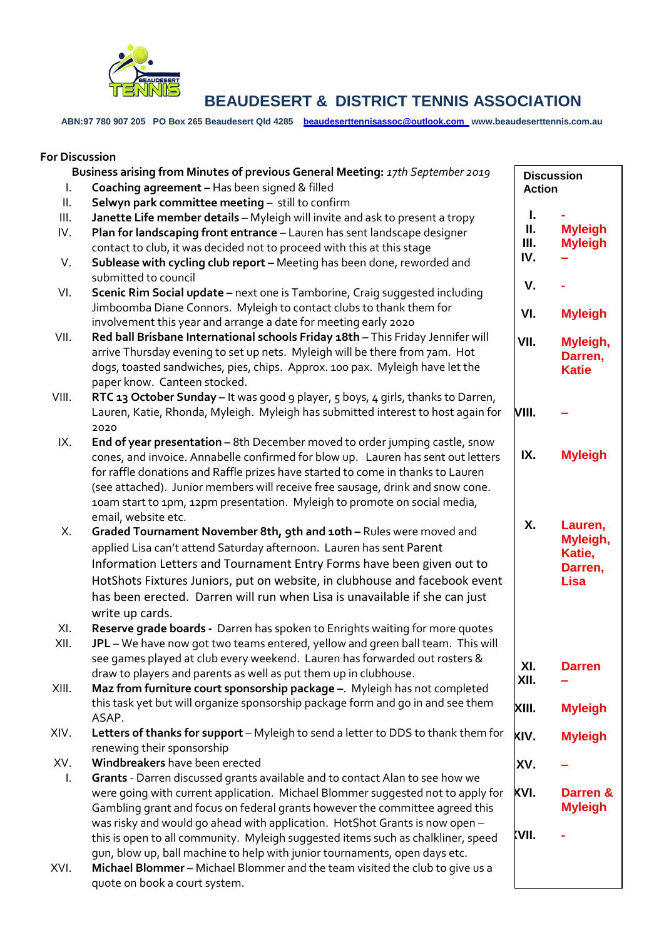

**BEAUDESERT & DISTRICT TENNIS ASSOCIATION**

**ABN:97 780 907 205 PO Box 265 Beaudesert Qld 4285 [beaudeserttennisassoc@outlook.com](mailto:beaudeserttennisassoc@outlook.com) www.beaudeserttennis.com.au**

#### **For Discussion Business arising from Minutes of previous General Meeting:** *17th September 2019* I. **Coaching agreement –** Has been signed & filled II. **Selwyn park committee meeting** – still to confirm III. **Janette Life member details** – Myleigh will invite and ask to present a tropy IV. **Plan for landscaping front entrance** – Lauren has sent landscape designer contact to club, it was decided not to proceed with this at this stage V. **Sublease with cycling club report –** Meeting has been done, reworded and submitted to council VI. **Scenic Rim Social update –** next one is Tamborine, Craig suggested including Jimboomba Diane Connors. Myleigh to contact clubs to thank them for involvement this year and arrange a date for meeting early 2020 VII. **Red ball Brisbane International schools Friday 18th –** This Friday Jennifer will arrive Thursday evening to set up nets. Myleigh will be there from 7am. Hot dogs, toasted sandwiches, pies, chips. Approx. 100 pax. Myleigh have let the paper know. Canteen stocked. VIII. **RTC 13 October Sunday –** It was good 9 player, 5 boys, 4 girls, thanks to Darren, Lauren, Katie, Rhonda, Myleigh. Myleigh has submitted interest to host again for 2020 IX. **End of year presentation –** 8th December moved to order jumping castle, snow cones, and invoice. Annabelle confirmed for blow up. Lauren has sent out letters for raffle donations and Raffle prizes have started to come in thanks to Lauren (see attached). Junior members will receive free sausage, drink and snow cone. 10am start to 1pm, 12pm presentation. Myleigh to promote on social media, email, website etc. X. **Graded Tournament November 8th, 9th and 10th –** Rules were moved and applied Lisa can't attend Saturday afternoon. Lauren has sent Parent Information Letters and Tournament Entry Forms have been given out to HotShots Fixtures Juniors, put on website, in clubhouse and facebook event has been erected. Darren will run when Lisa is unavailable if she can just write up cards. XI. **Reserve grade boards -** Darren has spoken to Enrights waiting for more quotes XII. **JPL** – We have now got two teams entered, yellow and green ball team. This will see games played at club every weekend. Lauren has forwarded out rosters & draw to players and parents as well as put them up in clubhouse. XIII. **Maz from furniture court sponsorship package –**. Myleigh has not completed this task yet but will organize sponsorship package form and go in and see them ASAP. XIV. **Letters of thanks for support** – Myleigh to send a letter to DDS to thank them for renewing their sponsorship XV. **Windbreakers** have been erected I. **Grants** - Darren discussed grants available and to contact Alan to see how we were going with current application. Michael Blommer suggested not to apply for Gambling grant and focus on federal grants however the committee agreed this was risky and would go ahead with application. HotShot Grants is now open – this is open to all community. Myleigh suggested items such as chalkliner, speed gun, blow up, ball machine to help with junior tournaments, open days etc. XVI. **Michael Blommer –** Michael Blommer and the team visited the club to give us a **Discussion Action I. - II. Myleigh Myleigh IV. – V. - VI. Myleigh VII. Myleigh, Darren, Katie VIII. – IX. Myleigh X. Lauren, Myleigh, Katie, Darren, Lisa XI. Darren XII. – XIII. Myleigh XIV. Myleigh XV. – XVI. Darren & Myleigh XVII. -**

quote on book a court system.